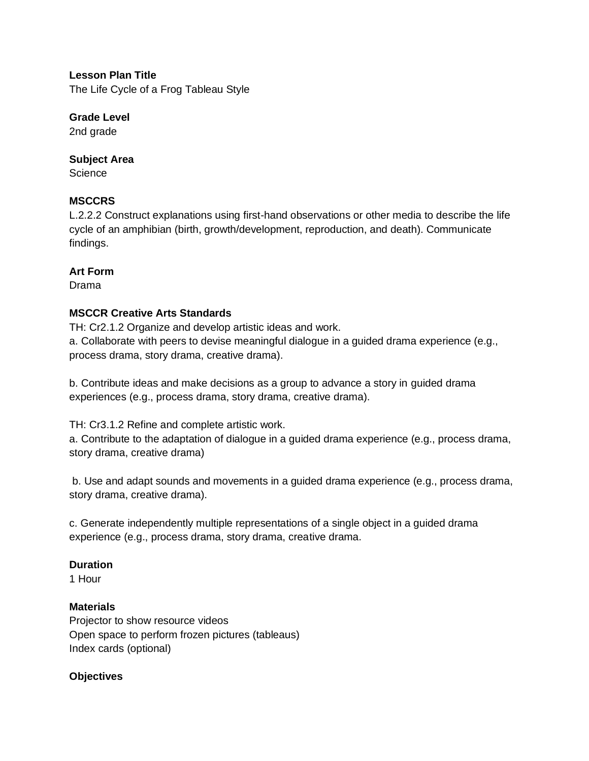**Lesson Plan Title** The Life Cycle of a Frog Tableau Style

**Grade Level** 2nd grade

#### **Subject Area**

**Science** 

#### **MSCCRS**

L.2.2.2 Construct explanations using first-hand observations or other media to describe the life cycle of an amphibian (birth, growth/development, reproduction, and death). Communicate findings.

#### **Art Form**

Drama

#### **MSCCR Creative Arts Standards**

TH: Cr2.1.2 Organize and develop artistic ideas and work. a. Collaborate with peers to devise meaningful dialogue in a guided drama experience (e.g., process drama, story drama, creative drama).

b. Contribute ideas and make decisions as a group to advance a story in guided drama experiences (e.g., process drama, story drama, creative drama).

TH: Cr3.1.2 Refine and complete artistic work.

a. Contribute to the adaptation of dialogue in a guided drama experience (e.g., process drama, story drama, creative drama)

b. Use and adapt sounds and movements in a guided drama experience (e.g., process drama, story drama, creative drama).

c. Generate independently multiple representations of a single object in a guided drama experience (e.g., process drama, story drama, creative drama.

#### **Duration**

1 Hour

#### **Materials**

Projector to show resource videos Open space to perform frozen pictures (tableaus) Index cards (optional)

## **Objectives**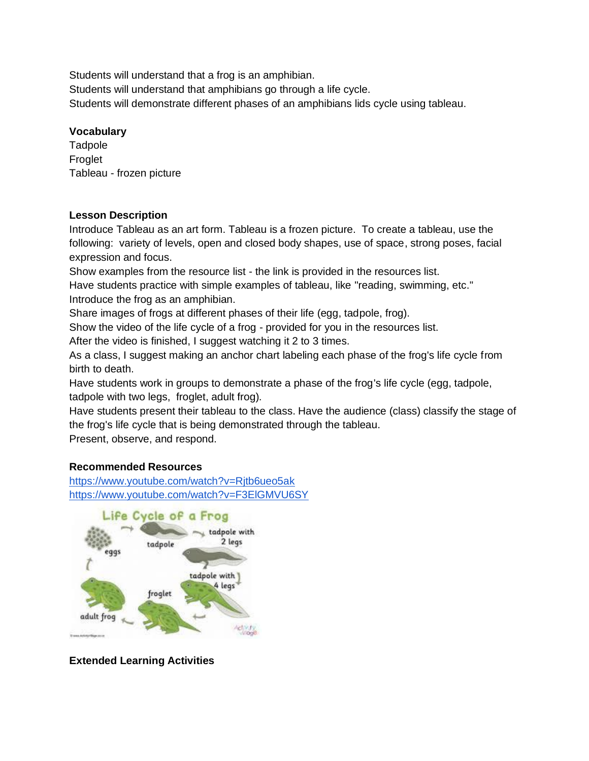Students will understand that a frog is an amphibian.

Students will understand that amphibians go through a life cycle.

Students will demonstrate different phases of an amphibians lids cycle using tableau.

#### **Vocabulary**

**Tadpole** Froglet Tableau - frozen picture

#### **Lesson Description**

Introduce Tableau as an art form. Tableau is a frozen picture. To create a tableau, use the following: variety of levels, open and closed body shapes, use of space, strong poses, facial expression and focus.

Show examples from the resource list - the link is provided in the resources list.

Have students practice with simple examples of tableau, like "reading, swimming, etc." Introduce the frog as an amphibian.

Share images of frogs at different phases of their life (egg, tadpole, frog).

Show the video of the life cycle of a frog - provided for you in the resources list.

After the video is finished, I suggest watching it 2 to 3 times.

As a class, I suggest making an anchor chart labeling each phase of the frog's life cycle from birth to death.

Have students work in groups to demonstrate a phase of the frog's life cycle (egg, tadpole, tadpole with two legs, froglet, adult frog).

Have students present their tableau to the class. Have the audience (class) classify the stage of the frog's life cycle that is being demonstrated through the tableau.

Present, observe, and respond.

## **Recommended Resources**

<https://www.youtube.com/watch?v=Rjtb6ueo5ak> <https://www.youtube.com/watch?v=F3ElGMVU6SY>



**Extended Learning Activities**